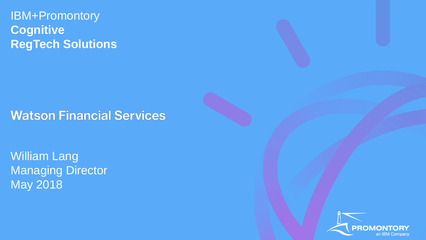### IBM+Promontory **Cognitive RegTech Solutions**

# **Watson Financial Services**



William Lang **Managing Director** May 2018

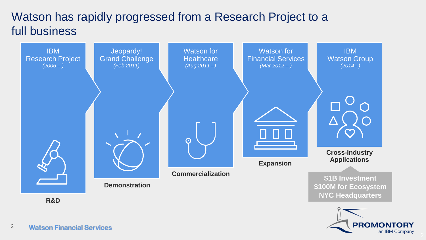# Watson has rapidly progressed from a Research Project to a full business

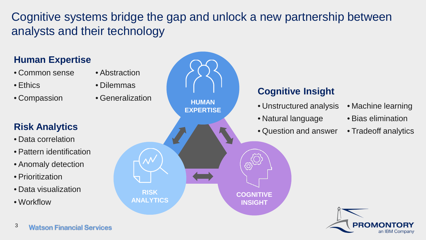Cognitive systems bridge the gap and unlock a new partnership between analysts and their technology



3**Watson Financial Services**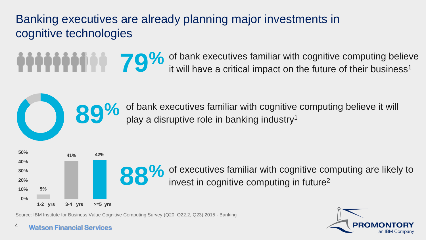Banking executives are already planning major investments in cognitive technologies

of bank executives familiar with cognitive computing believe it will have a critical impact on the future of their business<sup>1</sup> **79%** 

**89%**

of bank executives familiar with cognitive computing believe it will play a disruptive role in banking industry<sup>1</sup>



of executives familiar with cognitive computing are likely to invest in cognitive computing in future<sup>2</sup>

Source: IBM Institute for Business Value Cognitive Computing Survey (Q20, Q22.2, Q23) 2015 - Banking



4 **Watson Financial Services**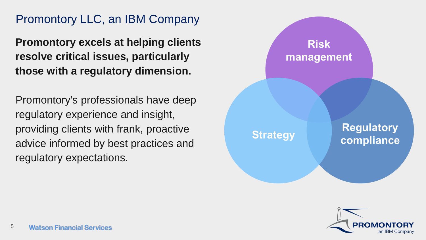### Promontory LLC, an IBM Company

**Promontory excels at helping clients resolve critical issues, particularly those with a regulatory dimension.** 

Promontory's professionals have deep regulatory experience and insight, providing clients with frank, proactive advice informed by best practices and regulatory expectations.